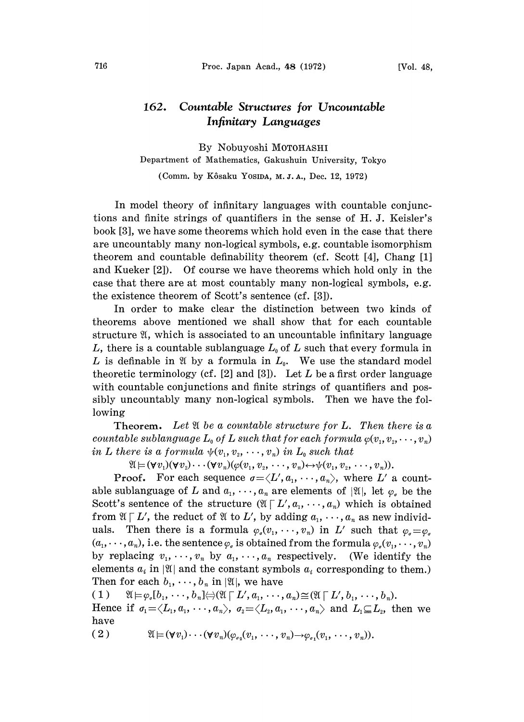## 162. Countable Structures for Uncountable Infinitary Languages

By Nobuyoshi MOTOHASHI Department of Mathematics, Gakushuin University, Tokyo

(Comm. by Kôsaku YosiDA, M.J.A., Dec. 12, 1972)

In model theory of infinitary languages with countable conjunctions and finite strings of quantifiers in the sense of H. J. Keisler's book [3], we have some theorems which hold even in the case that there are uncountably many non-logical symbols, e.g. countable isomorphism theorem and countable definability theorem (cf. Scott  $[4]$ , Chang  $[1]$ and Kueker  $[2]$ . Of course we have theorems which hold only in the case that there are at most countably many non-logical symbols, e.g. the existence theorem of Scott's sentence  $(cf. [3])$ .

In order to make clear the distinction between two kinds o theorems above mentioned we shall show that for each countable structure  $\mathfrak{A}$ , which is associated to an uncountable infinitary language L, there is a countable sublanguage  $L_0$  of L such that every formula in L is definable in  $\mathfrak A$  by a formula in  $L_0$ . We use the standard model theoretic terminology (cf.  $[2]$  and  $[3]$ ). Let L be a first order language with countable conjunctions and finite strings of quantifiers and possibly uncountably many non-logical symbols. Then we have the following

**Theorem.** Let  $\mathfrak A$  be a countable structure for L. Then there is a countable sublanguage  $L_0$  of  $L$  such that for each formula  $\varphi(v_1, v_2, \dots, v_n)$ in L there is a formula  $\psi(v_1, v_2, \dots, v_n)$  in  $L_0$  such that

 $\mathfrak{A} \models (\forall v_1)(\forall v_2) \cdots (\forall v_n)(\varphi(v_1, v_2, \cdots, v_n) \leftrightarrow \psi(v_1, v_2, \cdots, v_n)).$ 

**Proof.** For each sequence  $\sigma = \langle L', a_1, \dots, a_n \rangle$ , where L' a countable sublanguage of L and  $a_1, \dots, a_n$  are elements of  $\mathfrak{A}$ , let  $\varphi_{\sigma}$  be the Scott's sentence of the structure  $(\mathfrak{A} \nabla L', a_1, \dots, a_n)$  which is obtained from  $\mathfrak{A} \cap L'$ , the reduct of  $\mathfrak{A}$  to  $L'$ , by adding  $a_1, \dots, a_n$  as new individuals. Then there is a formula  $\varphi_{\sigma}(v_1, \dots, v_n)$  in L' such from  $\mathfrak{A} \cap L'$ , the reduct of  $\mathfrak{A}$  to  $L'$ , by adding  $a_1, \dots, a_n$  as new individuals. Then there is a formula  $\varphi_o(v_1, \dots, v_n)$  in  $L'$  such that  $\varphi_o = \varphi_o$ <br>( $a_1, \dots, a_n$ ), i.e. the sentence  $\varphi_o$  is obtained fro by replacing  $v_1, \dots, v_n$  by  $a_1, \dots, a_n$  respectively. (We identify the elements  $a_i$  in | 21| and the constant symbols  $a_i$  corresponding to them.) Then for each  $b_1, \dots, b_n$  in  $|\mathfrak{A}|$ , we have

( 1 )  $\mathfrak{A} \models \varphi_a[b_1, \cdots, b_n] \Leftrightarrow (\mathfrak{A} \sqcap L', a_1, \cdots, a_n) \cong (\mathfrak{A} \sqcap L', b_1, \cdots, b_n).$ 

Hence if  $\sigma_1 = \langle L_1, a_1, \cdots, a_n \rangle$ ,  $\sigma_2 = \langle L_2, a_1, \cdots, a_n \rangle$  and  $L_1 \subseteq L_2$ , then we have

$$
(2) \qquad \mathfrak{A} \models (\forall v_1) \cdots (\forall v_n) (\varphi_{\sigma_2}(v_1, \cdots, v_n) \rightarrow \varphi_{\sigma_1}(v_1, \cdots, v_n)).
$$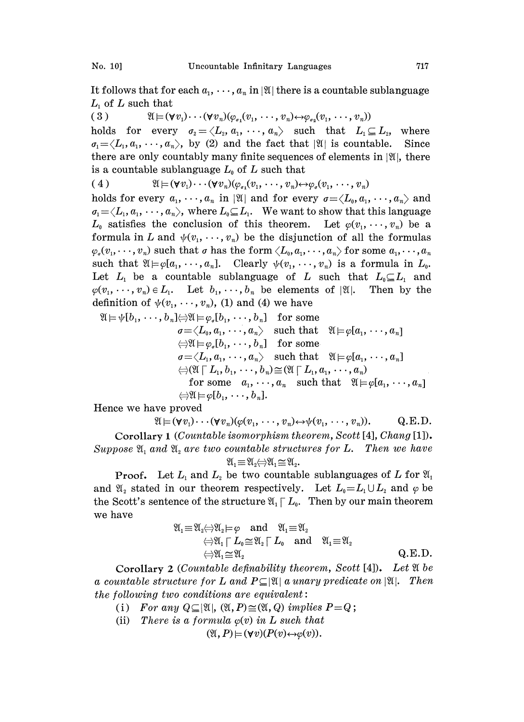It follows that for each  $a_1, \dots, a_n$  in | II there is a countable sublanguage  $L_1$  of L such that

( 3 )  $\mathfrak{A} \vDash (\forall v_1) \cdots (\forall v_n)(\varphi_{\sigma_1}(v_1,\cdots,v_n) \leftrightarrow \varphi_{\sigma_2}(v_1,\cdots,v_n))$ 

holds for every  $\sigma_2 = \langle L_2, a_1, \cdots, a_n \rangle$  such that  $L_1 \subseteq L_2$ , where  $\sigma_1 = \langle L_1, a_1, \cdots, a_n \rangle$ , by (2) and the fact that |\X| is countable. Since there are only countably many finite sequences of elements in  $|\mathfrak{A}|$ , there is a countable sublanguage  $L_0$  of L such that

(4) 
$$
\mathfrak{A} \models (\forall v_1) \cdots (\forall v_n) (\varphi_{\sigma_1}(v_1, \cdots, v_n) \leftrightarrow \varphi_{\sigma}(v_1, \cdots, v_n))
$$

holds for every  $a_1, \dots, a_n$  in |21| and for every  $\sigma = \langle L_0, a_1, \dots, a_n \rangle$  and  $a_1 = \langle L_1, a_1, \cdots, a_n \rangle$ , where  $L_0 \subseteq L_1$ . We want to show that this language  $L_0$  satisfies the conclusion of this theorem. Let  $\varphi(v_1,\dots,v_n)$  be a formula in L and  $\psi(v_1, \dots, v_n)$  be the disjunction of all the formulas  $\varphi_{\sigma}(v_1,\dots,v_n)$  such that  $\sigma$  has the form  $\langle L_0, a_1,\dots, a_n \rangle$  for some  $a_1,\dots, a_n$ such that  $\mathfrak{A} \models \varphi[a_1,\ldots,a_n]$ . Clearly  $\psi(v_1,\ldots,v_n)$  is a formula in  $L_0$ . Let  $L_1$  be a countable sublanguage of L such that  $L_0 \subseteq L_1$  and  $\varphi(v_1, \dots, v_n) \in L_1$ . Let  $b_1, \dots, b_n$  be elements of  $|\mathfrak{A}|$ . Then by the definition of  $\psi(v_1,\dots, v_n)$ , (1) and (4) we have

$$
\mathfrak{A} \models \psi[b_1, \cdots, b_n] \Leftrightarrow \mathfrak{A} \models \varphi_o[b_1, \cdots, b_n] \quad \text{for some} \quad \sigma = \langle L_0, a_1, \cdots, a_n \rangle \quad \text{such that} \quad \mathfrak{A} \models \varphi[a_1, \cdots, a_n] \quad \Leftrightarrow \mathfrak{A} \models \varphi_o[b_1, \cdots, b_n] \quad \text{for some} \quad \sigma = \langle L_1, a_1, \cdots, a_n \rangle \quad \text{such that} \quad \mathfrak{A} \models \varphi[a_1, \cdots, a_n] \quad \Leftrightarrow (\mathfrak{A} \sqcap L_1, b_1, \cdots, b_n) \cong (\mathfrak{A} \sqcap L_1, a_1, \cdots, a_n) \quad \text{for some} \quad a_1, \cdots, a_n \quad \text{such that} \quad \mathfrak{A} \models \varphi[a_1, \cdots, a_n] \quad \Leftrightarrow \mathfrak{A} \models \varphi[b_1, \cdots, b_n].
$$

Hence we have proved

 $\mathfrak{A} \models (\forall v_1) \cdots (\forall v_n)(\varphi(v_1, \cdots, v_n) \leftrightarrow \psi(v_1, \cdots, v_n)).$  Q.E.D.

Corollary <sup>1</sup> (Countable isomorphism theorem, Scott [4], Chang [1]). Suppose  $\mathfrak{A}_1$  and  $\mathfrak{A}_2$  are two countable structures for L. Then we have  $\mathfrak{A}_1 \equiv \mathfrak{A}_2 \Longleftrightarrow \mathfrak{A}_1 \cong \mathfrak{A}_2.$ 

**Proof.** Let  $L_1$  and  $L_2$  be two countable sublanguages of L for  $\mathfrak{A}_1$ and  $\mathfrak{A}_2$  stated in our theorem respectively. Let  $L_0 = L_1 \cup L_2$  and  $\varphi$  be the Scott's sentence of the structure  $\mathfrak{A}_{1} \Gamma L_{0}$ . Then by our main theorem we have

@1 <sup>V</sup> L0-- [- L0 and \_--. 1112 Q.E.D.

Corollary 2 (Countable definability theorem, Scott [4]). Let  $\mathfrak A$  be a countable structure for L and  $P\subseteq|\mathfrak{A}|$  a unary predicate on  $|\mathfrak{A}|$ . Then the following two conditions are equivalent:

- (i) For any  $Q \subseteq |\mathfrak{A}|$ ,  $(\mathfrak{A}, P) \cong (\mathfrak{A}, Q)$  implies  $P = Q$ ;
- (ii) There is a formula  $\varphi(v)$  in L such that

 $(\mathfrak{A}, P) \models (\forall v)(P(v) \leftrightarrow \varphi(v)).$